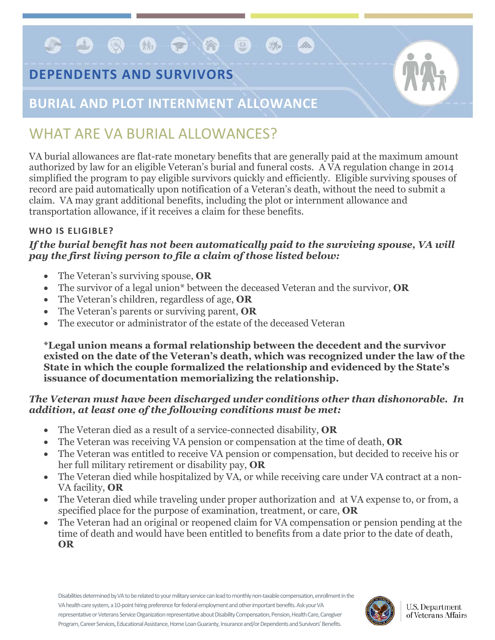# **DEPENDENTS AND SURVIVORS**



# **BURIAL AND PLOT INTERNMENT ALLOWANCE**

# WHAT ARE VA BURIAL ALLOWANCES?

**69006700** 

 authorized by law for an eligible Veteran's burial and funeral costs. A VA regulation change in 2014 VA burial allowances are flat-rate monetary benefits that are generally paid at the maximum amount simplified the program to pay eligible survivors quickly and efficiently. Eligible surviving spouses of record are paid automatically upon notification of a Veteran's death, without the need to submit a transportation allowance, if it receives a claim for these benefits. claim. VA may grant additional benefits, including the plot or internment allowance and

## **WHO IS ELIGIBLE?**

## *If the burial benefit has not been automatically paid to the surviving spouse, VA will pay the first living person to file a claim of those listed below:*

- $\bullet$ •The Veteran's surviving spouse, **OR**
- $\bullet$ •The survivor of a legal union\* between the deceased Veteran and the survivor, **OR**
- •The Veteran's children, regardless of age, **OR**
- •The Veteran's parents or surviving parent, **OR**
- •The executor or administrator of the estate of the deceased Veteran

 **\*Legal union means a formal relationship between the decedent and the survivor existed on the date of the Veteran's death, which was recognized under the law of the State in which the couple formalized the relationship and evidenced by the State's issuance of documentation memorializing the relationship.** 

### *The Veteran must have been discharged under conditions other than dishonorable. In addition, at least one of the following conditions must be met:*

- •The Veteran died as a result of a service-connected disability, **OR**
- $\bullet$ •The Veteran was receiving VA pension or compensation at the time of death, **OR**
- her full military retirement or disability pay, **OR**  • The Veteran was entitled to receive VA pension or compensation, but decided to receive his or
- •The Veteran died while hospitalized by VA, or while receiving care under VA contract at a non-VA facility, **OR**
- •The Veteran died while traveling under proper authorization and at VA expense to, or from, a specified place for the purpose of examination, treatment, or care, **OR**  specified place for the purpose of examination, treatment, or care,  $OR$
- time of death and would have been entitled to benefits from a date prior to the date of death, •The Veteran had an original or reopened claim for VA compensation or pension pending at the **OR**

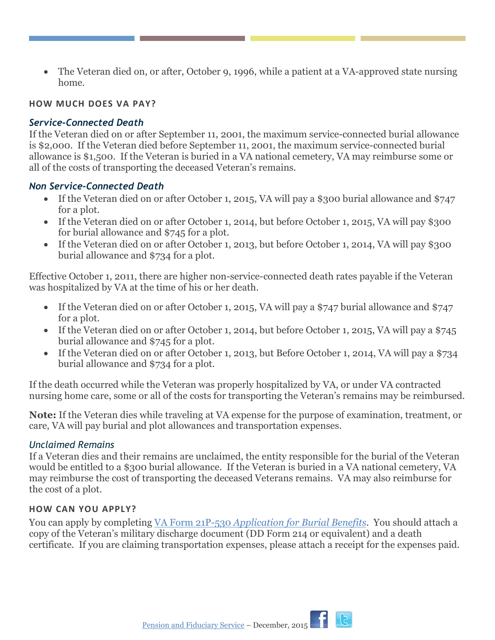• The Veteran died on, or after, October 9, 1996, while a patient at a VA-approved state nursing home.

#### **HOW MUCH DOES VA PAY?**

#### *Service-Connected Death*

 If the Veteran died on or after September 11, 2001, the maximum service-connected burial allowance is \$2,000. If the Veteran died before September 11, 2001, the maximum service-connected burial allowance is \$1,500. If the Veteran is buried in a VA national cemetery, VA may reimburse some or all of the costs of transporting the deceased Veteran's remains.

#### *Non Service-Connected Death*

- If the Veteran died on or after October 1, 2015, VA will pay a \$300 burial allowance and \$747 for a plot.
- If the Veteran died on or after October 1, 2014, but before October 1, 2015, VA will pay \$300 for burial allowance and \$745 for a plot.
- If the Veteran died on or after October 1, 2013, but before October 1, 2014, VA will pay \$300 burial allowance and \$734 for a plot.

 was hospitalized by VA at the time of his or her death. Effective October 1, 2011, there are higher non-service-connected death rates payable if the Veteran

- If the Veteran died on or after October 1, 2015, VA will pay a \$747 burial allowance and \$747 for a plot.
- If the Veteran died on or after October 1, 2014, but before October 1, 2015, VA will pay a \$745 burial allowance and \$745 for a plot.
- burial allowance and \$734 for a plot. • If the Veteran died on or after October 1, 2013, but Before October 1, 2014, VA will pay a \$734

 If the death occurred while the Veteran was properly hospitalized by VA, or under VA contracted nursing home care, some or all of the costs for transporting the Veteran's remains may be reimbursed.

 **Note:** If the Veteran dies while traveling at VA expense for the purpose of examination, treatment, or care, VA will pay burial and plot allowances and transportation expenses.

#### *Unclaimed Remains*

 If a Veteran dies and their remains are unclaimed, the entity responsible for the burial of the Veteran would be entitled to a \$300 burial allowance. If the Veteran is buried in a VA national cemetery, VA may reimburse the cost of transporting the deceased Veterans remains. VA may also reimburse for the cost of a plot.

#### **HOW CAN YOU APPLY?**

 You can apply by completing VA Form 21P-530 *[Application for Burial Benefits](http://www.vba.va.gov/pubs/forms/VBA-21P-530-ARE.pdf)*. You should attach a copy of the Veteran's military discharge document (DD Form 214 or equivalent) and a death certificate. If you are claiming transportation expenses, please attach a receipt for the expenses paid.